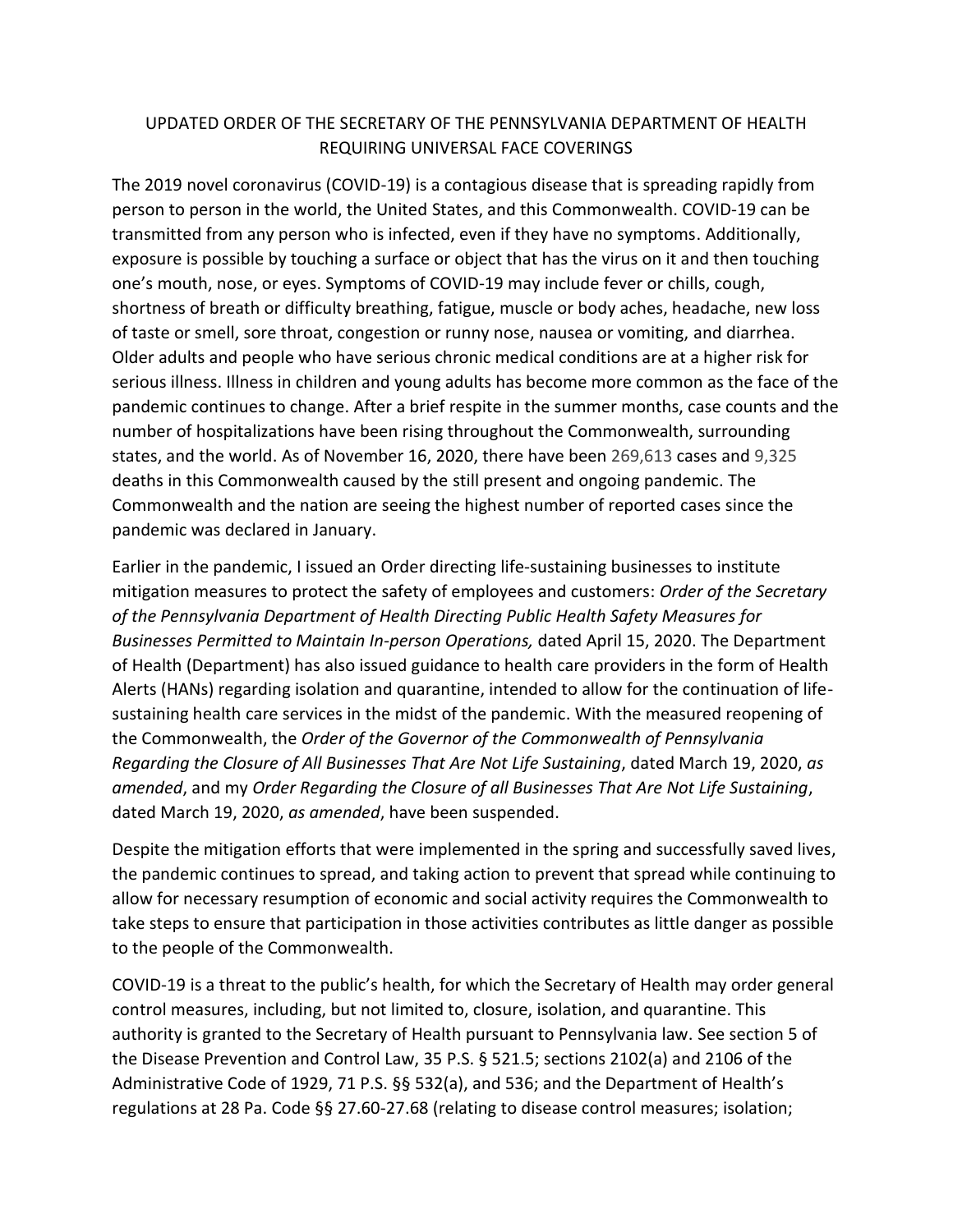# UPDATED ORDER OF THE SECRETARY OF THE PENNSYLVANIA DEPARTMENT OF HEALTH REQUIRING UNIVERSAL FACE COVERINGS

The 2019 novel coronavirus (COVID-19) is a contagious disease that is spreading rapidly from person to person in the world, the United States, and this Commonwealth. COVID-19 can be transmitted from any person who is infected, even if they have no symptoms. Additionally, exposure is possible by touching a surface or object that has the virus on it and then touching one's mouth, nose, or eyes. Symptoms of COVID-19 may include fever or chills, cough, shortness of breath or difficulty breathing, fatigue, muscle or body aches, headache, new loss of taste or smell, sore throat, congestion or runny nose, nausea or vomiting, and diarrhea. Older adults and people who have serious chronic medical conditions are at a higher risk for serious illness. Illness in children and young adults has become more common as the face of the pandemic continues to change. After a brief respite in the summer months, case counts and the number of hospitalizations have been rising throughout the Commonwealth, surrounding states, and the world. As of November 16, 2020, there have been 269,613 cases and 9,325 deaths in this Commonwealth caused by the still present and ongoing pandemic. The Commonwealth and the nation are seeing the highest number of reported cases since the pandemic was declared in January.

Earlier in the pandemic, I issued an Order directing life-sustaining businesses to institute mitigation measures to protect the safety of employees and customers: *Order of the Secretary of the Pennsylvania Department of Health Directing Public Health Safety Measures for Businesses Permitted to Maintain In-person Operations,* dated April 15, 2020. The Department of Health (Department) has also issued guidance to health care providers in the form of Health Alerts (HANs) regarding isolation and quarantine, intended to allow for the continuation of lifesustaining health care services in the midst of the pandemic. With the measured reopening of the Commonwealth, the *Order of the Governor of the Commonwealth of Pennsylvania Regarding the Closure of All Businesses That Are Not Life Sustaining*, dated March 19, 2020, *as amended*, and my *Order Regarding the Closure of all Businesses That Are Not Life Sustaining*, dated March 19, 2020, *as amended*, have been suspended.

Despite the mitigation efforts that were implemented in the spring and successfully saved lives, the pandemic continues to spread, and taking action to prevent that spread while continuing to allow for necessary resumption of economic and social activity requires the Commonwealth to take steps to ensure that participation in those activities contributes as little danger as possible to the people of the Commonwealth.

COVID-19 is a threat to the public's health, for which the Secretary of Health may order general control measures, including, but not limited to, closure, isolation, and quarantine. This authority is granted to the Secretary of Health pursuant to Pennsylvania law. See section 5 of the Disease Prevention and Control Law, 35 P.S. § 521.5; sections 2102(a) and 2106 of the Administrative Code of 1929, 71 P.S. §§ 532(a), and 536; and the Department of Health's regulations at 28 Pa. Code §§ 27.60-27.68 (relating to disease control measures; isolation;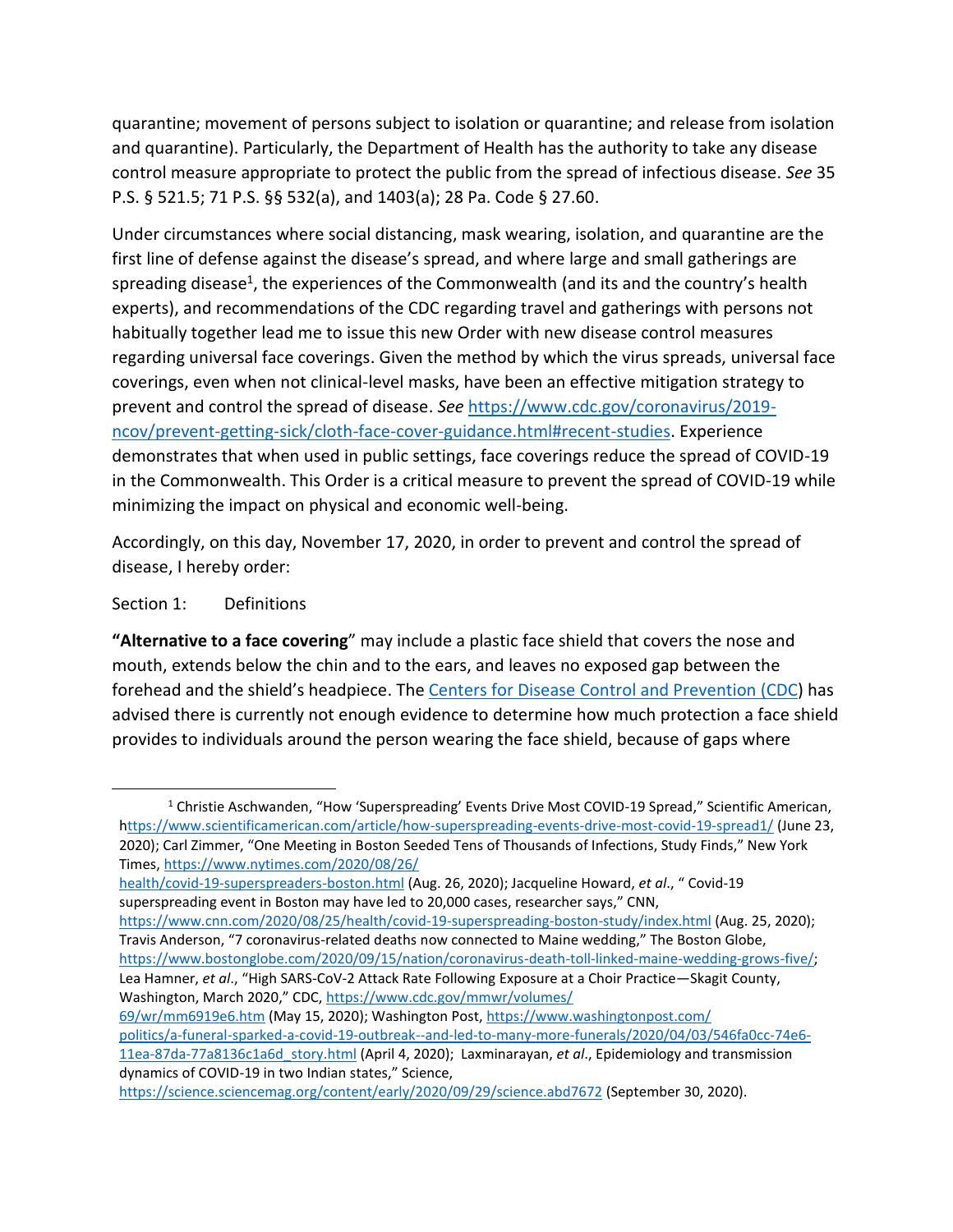quarantine; movement of persons subject to isolation or quarantine; and release from isolation and quarantine). Particularly, the Department of Health has the authority to take any disease control measure appropriate to protect the public from the spread of infectious disease. *See* 35 P.S. § 521.5; 71 P.S. §§ 532(a), and 1403(a); 28 Pa. Code § 27.60.

Under circumstances where social distancing, mask wearing, isolation, and quarantine are the first line of defense against the disease's spread, and where large and small gatherings are spreading disease<sup>1</sup>, the experiences of the Commonwealth (and its and the country's health experts), and recommendations of the CDC regarding travel and gatherings with persons not habitually together lead me to issue this new Order with new disease control measures regarding universal face coverings. Given the method by which the virus spreads, universal face coverings, even when not clinical-level masks, have been an effective mitigation strategy to prevent and control the spread of disease. *See* [https://www.cdc.gov/coronavirus/2019](https://www.cdc.gov/coronavirus/2019-ncov/prevent-getting-sick/cloth-face-cover-guidance.html#recent-studies) [ncov/prevent-getting-sick/cloth-face-cover-guidance.html#recent-studies.](https://www.cdc.gov/coronavirus/2019-ncov/prevent-getting-sick/cloth-face-cover-guidance.html#recent-studies) Experience demonstrates that when used in public settings, face coverings reduce the spread of COVID-19 in the Commonwealth. This Order is a critical measure to prevent the spread of COVID-19 while minimizing the impact on physical and economic well-being.

Accordingly, on this day, November 17, 2020, in order to prevent and control the spread of disease, I hereby order:

### Section 1: Definitions

**"Alternative to a face covering**" may include a plastic face shield that covers the nose and mouth, extends below the chin and to the ears, and leaves no exposed gap between the forehead and the shield's headpiece. The Centers [for Disease Control and Prevention \(CDC\)](https://www.cdc.gov/coronavirus/2019-ncov/prevent-getting-sick/cloth-face-cover-guidance.html#face-shields) has advised there is currently not enough evidence to determine how much protection a face shield provides to individuals around the person wearing the face shield, because of gaps where

<https://www.cnn.com/2020/08/25/health/covid-19-superspreading-boston-study/index.html> (Aug. 25, 2020); Travis Anderson, "7 coronavirus-related deaths now connected to Maine wedding," The Boston Globe, [https://www.bostonglobe.com/2020/09/15/nation/coronavirus-death-toll-linked-maine-wedding-grows-five/;](https://www.bostonglobe.com/2020/09/15/nation/coronavirus-death-toll-linked-maine-wedding-grows-five/)

Lea Hamner, *et al*., "High SARS-CoV-2 Attack Rate Following Exposure at a Choir Practice—Skagit County, Washington, March 2020," CDC, [https://www.cdc.gov/mmwr/volumes/](https://www.cdc.gov/mmwr/volumes/69/wr/mm6919e6.htm)

[69/wr/mm6919e6.htm](https://www.cdc.gov/mmwr/volumes/69/wr/mm6919e6.htm) (May 15, 2020); Washington Post[, https://www.washingtonpost.com/](https://www.washingtonpost.com/politics/a-funeral-sparked-a-covid-19-outbreak--and-led-to-many-more-funerals/2020/04/03/546fa0cc-74e6-11ea-87da-77a8136c1a6d_story.html) [politics/a-funeral-sparked-a-covid-19-outbreak--and-led-to-many-more-funerals/2020/04/03/546fa0cc-74e6-](https://www.washingtonpost.com/politics/a-funeral-sparked-a-covid-19-outbreak--and-led-to-many-more-funerals/2020/04/03/546fa0cc-74e6-11ea-87da-77a8136c1a6d_story.html)

<sup>&</sup>lt;sup>1</sup> Christie Aschwanden, "How 'Superspreading' Events Drive Most COVID-19 Spread," Scientific American, <https://www.scientificamerican.com/article/how-superspreading-events-drive-most-covid-19-spread1/> (June 23, 2020); Carl Zimmer, "One Meeting in Boston Seeded Tens of Thousands of Infections, Study Finds," New York Times[, https://www.nytimes.com/2020/08/26/](https://www.nytimes.com/2020/08/26/health/covid-19-superspreaders-boston.html)

[health/covid-19-superspreaders-boston.html](https://www.nytimes.com/2020/08/26/health/covid-19-superspreaders-boston.html) (Aug. 26, 2020); Jacqueline Howard, *et al*., " Covid-19 superspreading event in Boston may have led to 20,000 cases, researcher says," CNN,

[<sup>11</sup>ea-87da-77a8136c1a6d\\_story.html](https://www.washingtonpost.com/politics/a-funeral-sparked-a-covid-19-outbreak--and-led-to-many-more-funerals/2020/04/03/546fa0cc-74e6-11ea-87da-77a8136c1a6d_story.html) (April 4, 2020); Laxminarayan, *et al*., Epidemiology and transmission dynamics of COVID-19 in two Indian states," Science,

<https://science.sciencemag.org/content/early/2020/09/29/science.abd7672> (September 30, 2020).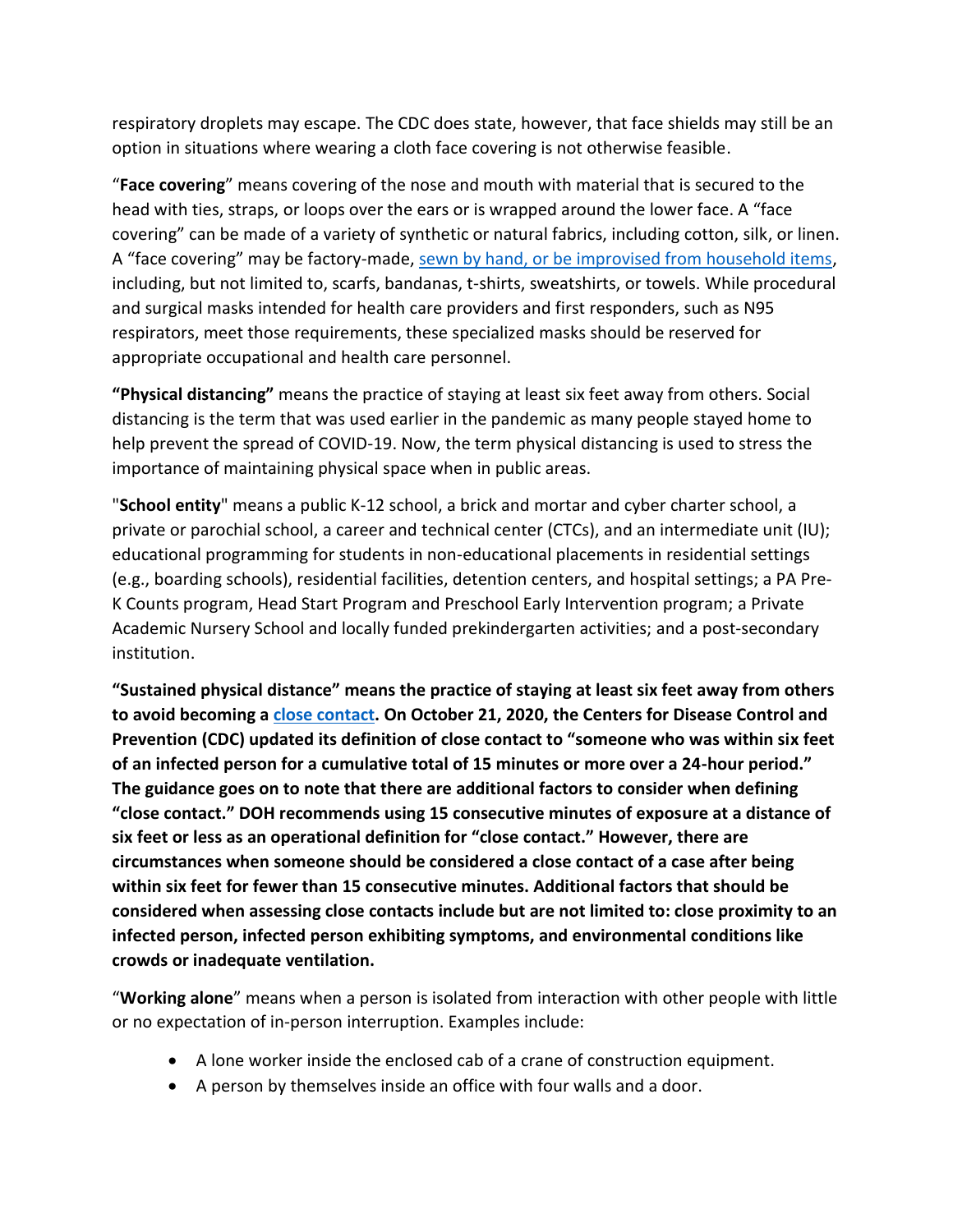respiratory droplets may escape. The CDC does state, however, that face shields may still be an option in situations where wearing a cloth face covering is not otherwise feasible.

"**Face covering**" means covering of the nose and mouth with material that is secured to the head with ties, straps, or loops over the ears or is wrapped around the lower face. A "face covering" can be made of a variety of synthetic or natural fabrics, including cotton, silk, or linen. A "face covering" may be factory-made, [sewn by hand, or be improvised from household items,](https://www.cdc.gov/coronavirus/2019-ncov/prevent-getting-sick/how-to-make-cloth-face-covering.html) including, but not limited to, scarfs, bandanas, t-shirts, sweatshirts, or towels. While procedural and surgical masks intended for health care providers and first responders, such as N95 respirators, meet those requirements, these specialized masks should be reserved for appropriate occupational and health care personnel.

**"Physical distancing"** means the practice of staying at least six feet away from others. Social distancing is the term that was used earlier in the pandemic as many people stayed home to help prevent the spread of COVID-19. Now, the term physical distancing is used to stress the importance of maintaining physical space when in public areas.

"**School entity**" means a public K-12 school, a brick and mortar and cyber charter school, a private or parochial school, a career and technical center (CTCs), and an intermediate unit (IU); educational programming for students in non-educational placements in residential settings (e.g., boarding schools), residential facilities, detention centers, and hospital settings; a PA Pre-K Counts program, Head Start Program and Preschool Early Intervention program; a Private Academic Nursery School and locally funded prekindergarten activities; and a post-secondary institution.

**"Sustained physical distance" means the practice of staying at least six feet away from others to avoid becoming [a close contact.](https://www.cdc.gov/coronavirus/2019-ncov/php/contact-tracing/contact-tracing-plan/appendix.html#contact) On October 21, 2020, the Centers for Disease Control and Prevention (CDC) updated its definition of close contact to "someone who was within six feet of an infected person for a cumulative total of 15 minutes or more over a 24-hour period." The guidance goes on to note that there are additional factors to consider when defining "close contact." DOH recommends using 15 consecutive minutes of exposure at a distance of six feet or less as an operational definition for "close contact." However, there are circumstances when someone should be considered a close contact of a case after being within six feet for fewer than 15 consecutive minutes. Additional factors that should be considered when assessing close contacts include but are not limited to: close proximity to an infected person, infected person exhibiting symptoms, and environmental conditions like crowds or inadequate ventilation.**

"**Working alone**" means when a person is isolated from interaction with other people with little or no expectation of in-person interruption. Examples include:

- A lone worker inside the enclosed cab of a crane of construction equipment.
- A person by themselves inside an office with four walls and a door.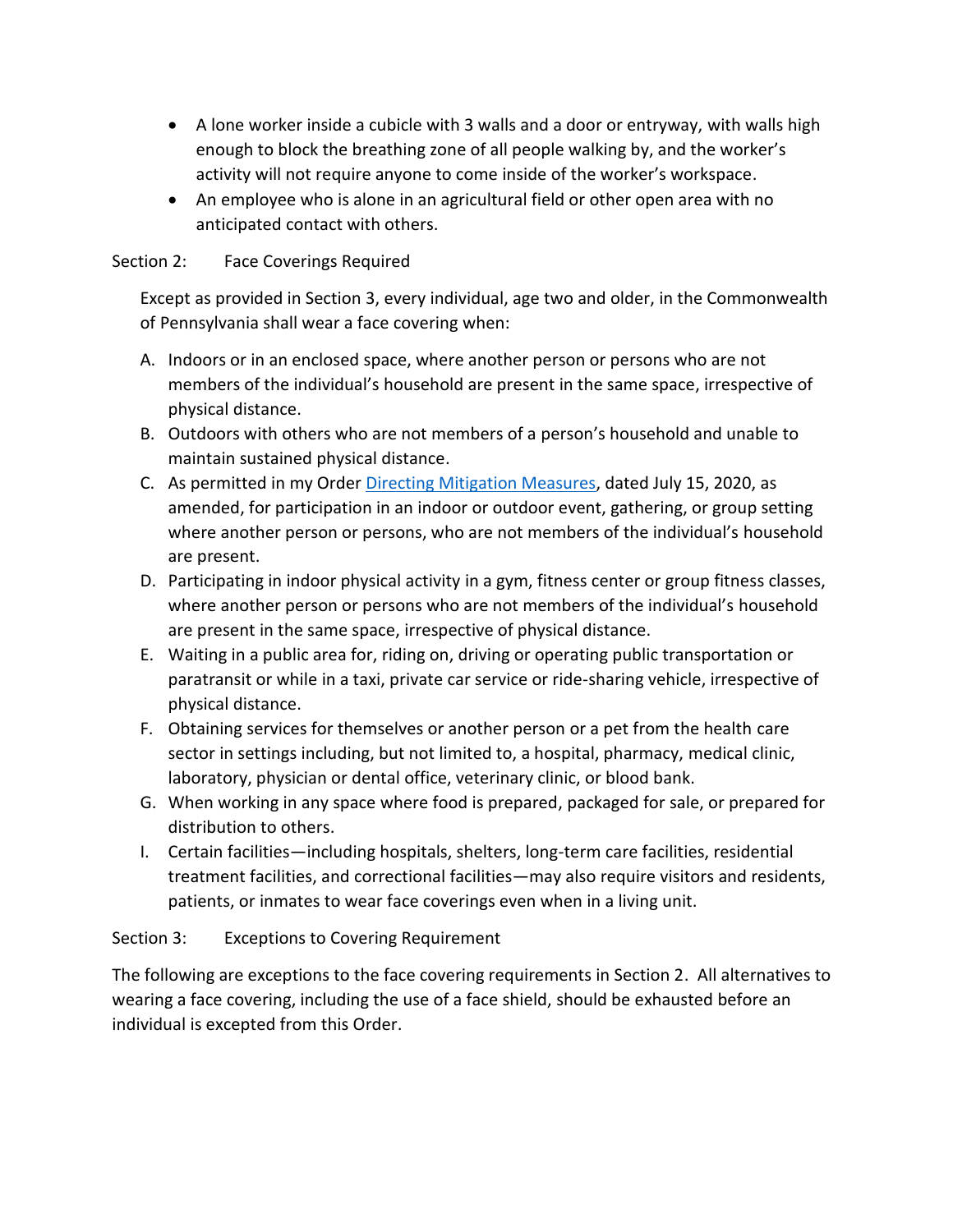- A lone worker inside a cubicle with 3 walls and a door or entryway, with walls high enough to block the breathing zone of all people walking by, and the worker's activity will not require anyone to come inside of the worker's workspace.
- An employee who is alone in an agricultural field or other open area with no anticipated contact with others.

## Section 2: Face Coverings Required

Except as provided in Section 3, every individual, age two and older, in the Commonwealth of Pennsylvania shall wear a face covering when:

- A. Indoors or in an enclosed space, where another person or persons who are not members of the individual's household are present in the same space, irrespective of physical distance.
- B. Outdoors with others who are not members of a person's household and unable to maintain sustained physical distance.
- C. As permitted in my Order [Directing Mitigation Measures,](https://www.governor.pa.gov/wp-content/uploads/2020/07/20200715-SOH-targeted-mitigation-order.pdf) dated July 15, 2020, as amended, for participation in an indoor or outdoor event, gathering, or group setting where another person or persons, who are not members of the individual's household are present.
- D. Participating in indoor physical activity in a gym, fitness center or group fitness classes, where another person or persons who are not members of the individual's household are present in the same space, irrespective of physical distance.
- E. Waiting in a public area for, riding on, driving or operating public transportation or paratransit or while in a taxi, private car service or ride-sharing vehicle, irrespective of physical distance.
- F. Obtaining services for themselves or another person or a pet from the health care sector in settings including, but not limited to, a hospital, pharmacy, medical clinic, laboratory, physician or dental office, veterinary clinic, or blood bank.
- G. When working in any space where food is prepared, packaged for sale, or prepared for distribution to others.
- I. Certain facilities—including hospitals, shelters, long-term care facilities, residential treatment facilities, and correctional facilities—may also require visitors and residents, patients, or inmates to wear face coverings even when in a living unit.

## Section 3: Exceptions to Covering Requirement

The following are exceptions to the face covering requirements in Section 2. All alternatives to wearing a face covering, including the use of a face shield, should be exhausted before an individual is excepted from this Order.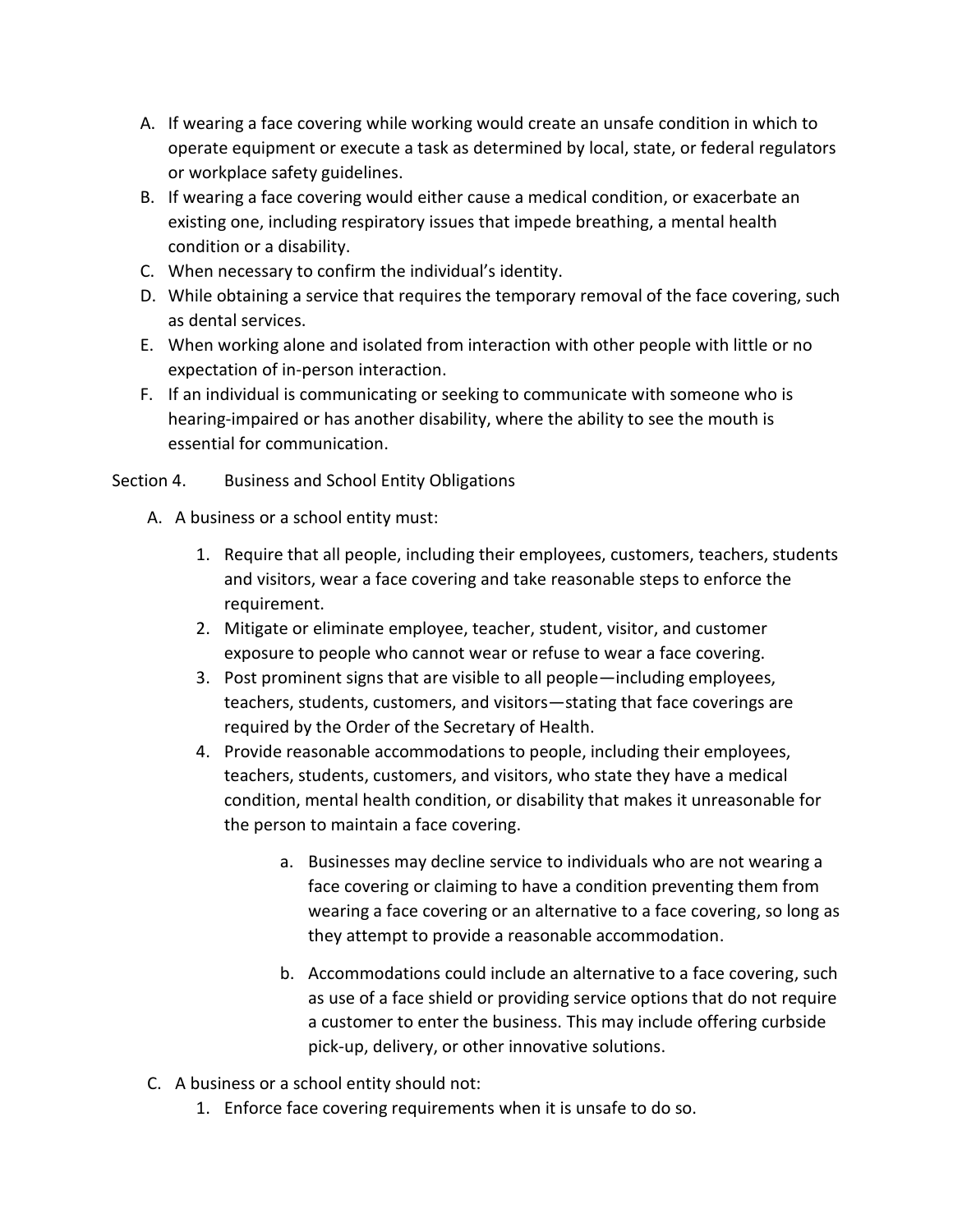- A. If wearing a face covering while working would create an unsafe condition in which to operate equipment or execute a task as determined by local, state, or federal regulators or workplace safety guidelines.
- B. If wearing a face covering would either cause a medical condition, or exacerbate an existing one, including respiratory issues that impede breathing, a mental health condition or a disability.
- C. When necessary to confirm the individual's identity.
- D. While obtaining a service that requires the temporary removal of the face covering, such as dental services.
- E. When working alone and isolated from interaction with other people with little or no expectation of in-person interaction.
- F. If an individual is communicating or seeking to communicate with someone who is hearing-impaired or has another disability, where the ability to see the mouth is essential for communication.

## Section 4. Business and School Entity Obligations

- A. A business or a school entity must:
	- 1. Require that all people, including their employees, customers, teachers, students and visitors, wear a face covering and take reasonable steps to enforce the requirement.
	- 2. Mitigate or eliminate employee, teacher, student, visitor, and customer exposure to people who cannot wear or refuse to wear a face covering.
	- 3. Post prominent signs that are visible to all people—including employees, teachers, students, customers, and visitors—stating that face coverings are required by the Order of the Secretary of Health.
	- 4. Provide reasonable accommodations to people, including their employees, teachers, students, customers, and visitors, who state they have a medical condition, mental health condition, or disability that makes it unreasonable for the person to maintain a face covering.
		- a. Businesses may decline service to individuals who are not wearing a face covering or claiming to have a condition preventing them from wearing a face covering or an alternative to a face covering, so long as they attempt to provide a reasonable accommodation.
		- b. Accommodations could include an alternative to a face covering, such as use of a face shield or providing service options that do not require a customer to enter the business. This may include offering curbside pick-up, delivery, or other innovative solutions.
- C. A business or a school entity should not:
	- 1. Enforce face covering requirements when it is unsafe to do so.